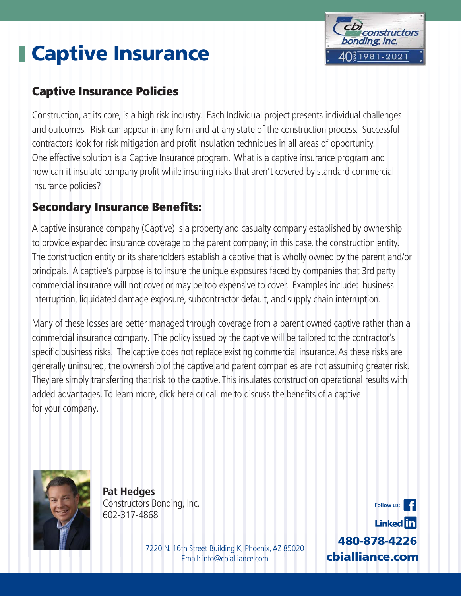# **Captive Insurance**



### **Captive Insurance Policies**

Construction, at its core, is a high risk industry. Each Individual project presents individual challenges and outcomes. Risk can appear in any form and at any state of the construction process. Successful contractors look for risk mitigation and profit insulation techniques in all areas of opportunity. One effective solution is a Captive Insurance program. What is a captive insurance program and how can it insulate company profit while insuring risks that aren't covered by standard commercial insurance policies?

### **Secondary Insurance Benefits:**

A captive insurance company (Captive) is a property and casualty company established by ownership to provide expanded insurance coverage to the parent company; in this case, the construction entity. The construction entity or its shareholders establish a captive that is wholly owned by the parent and/or principals. A captive's purpose is to insure the unique exposures faced by companies that 3rd party commercial insurance will not cover or may be too expensive to cover. Examples include: business interruption, liquidated damage exposure, subcontractor default, and supply chain interruption.

Many of these losses are better managed through coverage from a parent owned captive rather than a commercial insurance company. The policy issued by the captive will be tailored to the contractor's specific business risks. The captive does not replace existing commercial insurance. As these risks are generally uninsured, the ownership of the captive and parent companies are not assuming greater risk. They are simply transferring that risk to the captive. This insulates construction operational results with added advantages. To learn more, [click here](https://cbialliance.com) or call me to discuss the benefits of a captive for your company.



**Pat Hedges** Constructors Bonding, Inc. 602‐317‐4868

> 7220 N. 16th Street Building K, Phoenix, AZ 85020 Email: info@cbialliance.com **cbialliance.com**